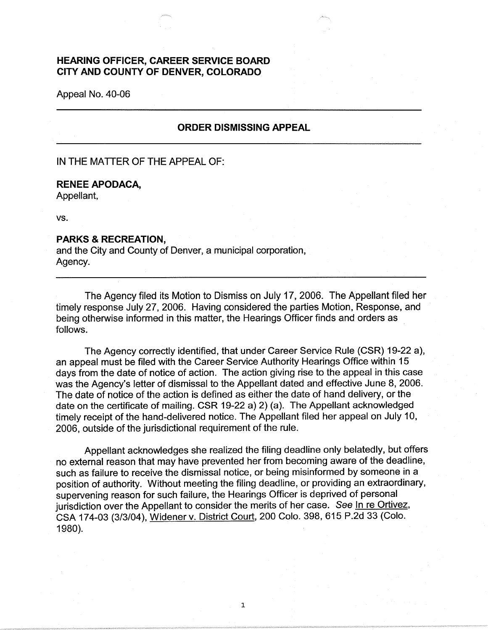## **HEARING OFFICER, CAREER SERVICE BOARD CITY AND COUNTY OF DENVER, COLORADO**

Appeal No. 40-06

## **ORDER DISMISSING APPEAL**

IN THE MATTER OF THE APPEAL OF:

## **RENEE APODACA,**

Appellant,

vs.

## **PARKS & RECREATION,**

and the City and County of Denver, a municipal corporation, Agency.

The Agency filed its Motion to Dismiss on July 17, 2006. The Appellant filed her timely response July 27, 2006. Having considered the parties Motion, Response, and being otherwise informed in this matter, the Hearings Officer finds and orders as follows.

The Agency correctly identified, that under Career Service Rule (CSR) 19-22 a), an appeal must be filed with the Career Service Authority Hearings Office within 15 days from the date of notice of action. The action giving rise to the appeal in this case was the Agency's letter of dismissal to the Appellant dated and effective June 8, 2006. The date of notice of the action is defined as either the date of hand delivery, or the date on the certificate of mailing. CSR 19-22 a) 2) (a). The Appellant acknowledged timely receipt of the hand-delivered notice. The Appellant filed her appeal on July 10, 2006, outside of the jurisdictional requirement of the rule.

Appellant acknowledges she realized the filing deadline only belatedly, but offers no external reason that may have prevented her from becoming aware of the deadline, such as failure to receive the dismissal notice, or being misinformed by someone in a position of authority. Without meeting the filing deadline, or providing an extraordinary, supervening reason for such failure, the Hearings Officer is deprived of personal jurisdiction over the Appellant to consider the merits of her case. See In re Ortivez, CSA 174-03 (3/3/04), Widener v. District Court, 200 Colo. 398, 615 P.2d 33 (Colo. 1980).